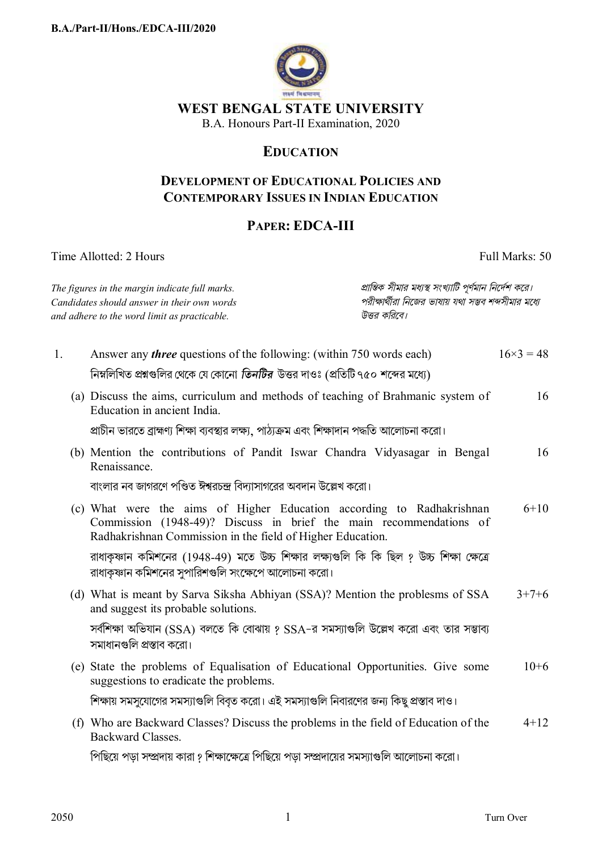

# WEST BENGAL STATE UNIVERSITY

B.A. Honours Part-II Examination, 2020

## **EDUCATION**

#### **DEVELOPMENT OF EDUCATIONAL POLICIES AND CONTEMPORARY ISSUES IN INDIAN EDUCATION**

### PAPER: EDCA-III

Time Allotted: 2 Hours

Full Marks: 50

| প্রান্তিক সীমার মধ্যস্থ সংখ্যাটি পূর্ণমান নির্দেশ করে।<br>The figures in the margin indicate full marks.<br>পরীক্ষার্থীরা নিজের ভাষায় যথা সম্ভব শব্দসীমার মধ্যে<br>Candidates should answer in their own words<br>উত্তর করিবে।<br>and adhere to the word limit as practicable. |                                                                                                                                                                                                            |  |                  |
|---------------------------------------------------------------------------------------------------------------------------------------------------------------------------------------------------------------------------------------------------------------------------------|------------------------------------------------------------------------------------------------------------------------------------------------------------------------------------------------------------|--|------------------|
| 1.                                                                                                                                                                                                                                                                              | Answer any <i>three</i> questions of the following: (within 750 words each)                                                                                                                                |  | $16\times3 = 48$ |
|                                                                                                                                                                                                                                                                                 | নিম্নলিখিত প্রশ্নগুলির থেকে যে কোনো <i>তিনটির ঊ</i> ত্তর দাওঃ (প্রতিটি ৭৫০ শব্দের মধ্যে)<br>(a) Discuss the aims, curriculum and methods of teaching of Brahmanic system of<br>Education in ancient India. |  | 16               |
|                                                                                                                                                                                                                                                                                 | প্রাচীন ভারতে ব্রাহ্মণ্য শিক্ষা ব্যবস্থার লক্ষ্য, পাঠ্যক্রম এবং শিক্ষাদান পদ্ধতি আলোচনা করো।<br>(b) Mention the contributions of Pandit Iswar Chandra Vidyasagar in Bengal<br>Renaissance.                 |  | 16               |
|                                                                                                                                                                                                                                                                                 | বাংলার নব জাগরণে পণ্ডিত ঈশ্বরচন্দ্র বিদ্যাসাগরের অবদান উল্লেখ করো।                                                                                                                                         |  |                  |
|                                                                                                                                                                                                                                                                                 | (c) What were the aims of Higher Education according to Radhakrishnan<br>Commission (1948-49)? Discuss in brief the main recommendations of<br>Radhakrishnan Commission in the field of Higher Education.  |  | $6 + 10$         |
|                                                                                                                                                                                                                                                                                 | রাধাকৃষ্ণান কমিশনের (1948-49) মতে উচ্চ শিক্ষার লক্ষ্যগুলি কি কি ছিল ? উচ্চ শিক্ষা ক্ষেত্রে<br>রাধাকৃষ্ণান কমিশনের সুপারিশগুলি সংক্ষেপে আলোচনা করো।                                                         |  |                  |
|                                                                                                                                                                                                                                                                                 | (d) What is meant by Sarva Siksha Abhiyan (SSA)? Mention the problesms of SSA<br>and suggest its probable solutions.                                                                                       |  | $3+7+6$          |
|                                                                                                                                                                                                                                                                                 | সর্বশিক্ষা অভিযান (SSA) বলতে কি বোঝায় ? SSA-র সমস্যাগুলি উল্লেখ করো এবং তার সম্ভাব্য<br>সমাধানগুলি প্রস্তাব করো।                                                                                          |  |                  |
|                                                                                                                                                                                                                                                                                 | (e) State the problems of Equalisation of Educational Opportunities. Give some<br>suggestions to eradicate the problems.                                                                                   |  | $10+6$           |
|                                                                                                                                                                                                                                                                                 | শিক্ষায় সমসুযোগের সমস্যাগুলি বিবৃত করো। এই সমস্যাগুলি নিবারণের জন্য কিছু প্রস্তাব দাও।                                                                                                                    |  |                  |
|                                                                                                                                                                                                                                                                                 | (f) Who are Backward Classes? Discuss the problems in the field of Education of the<br><b>Backward Classes.</b>                                                                                            |  | $4 + 12$         |
|                                                                                                                                                                                                                                                                                 | পিছিয়ে পড়া সম্প্রদায় কারা ? শিক্ষাক্ষেত্রে পিছিয়ে পড়া সম্প্রদায়ের সমস্যাগুলি আলোচনা করো।                                                                                                             |  |                  |

2050